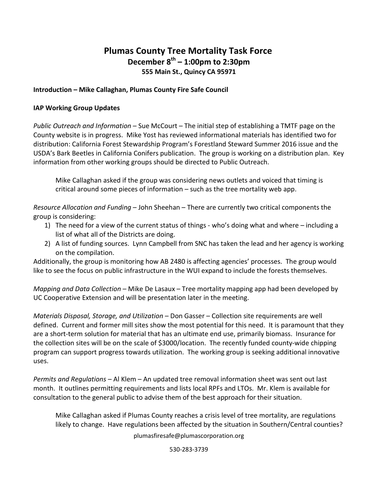# **Plumas County Tree Mortality Task Force December 8th – 1:00pm to 2:30pm 555 Main St., Quincy CA 95971**

### **Introduction – Mike Callaghan, Plumas County Fire Safe Council**

#### **IAP Working Group Updates**

*Public Outreach and Information* – Sue McCourt – The initial step of establishing a TMTF page on the County website is in progress. Mike Yost has reviewed informational materials has identified two for distribution: California Forest Stewardship Program's Forestland Steward Summer 2016 issue and the USDA's Bark Beetles in California Conifers publication. The group is working on a distribution plan. Key information from other working groups should be directed to Public Outreach.

Mike Callaghan asked if the group was considering news outlets and voiced that timing is critical around some pieces of information – such as the tree mortality web app.

*Resource Allocation and Funding* – John Sheehan – There are currently two critical components the group is considering:

- 1) The need for a view of the current status of things who's doing what and where including a list of what all of the Districts are doing.
- 2) A list of funding sources. Lynn Campbell from SNC has taken the lead and her agency is working on the compilation.

Additionally, the group is monitoring how AB 2480 is affecting agencies' processes. The group would like to see the focus on public infrastructure in the WUI expand to include the forests themselves.

*Mapping and Data Collection* – Mike De Lasaux – Tree mortality mapping app had been developed by UC Cooperative Extension and will be presentation later in the meeting.

*Materials Disposal, Storage, and Utilization* – Don Gasser – Collection site requirements are well defined. Current and former mill sites show the most potential for this need. It is paramount that they are a short-term solution for material that has an ultimate end use, primarily biomass. Insurance for the collection sites will be on the scale of \$3000/location. The recently funded county-wide chipping program can support progress towards utilization. The working group is seeking additional innovative uses.

*Permits and Regulations* – Al Klem – An updated tree removal information sheet was sent out last month. It outlines permitting requirements and lists local RPFs and LTOs. Mr. Klem is available for consultation to the general public to advise them of the best approach for their situation.

Mike Callaghan asked if Plumas County reaches a crisis level of tree mortality, are regulations likely to change. Have regulations been affected by the situation in Southern/Central counties?

plumasfiresafe@plumascorporation.org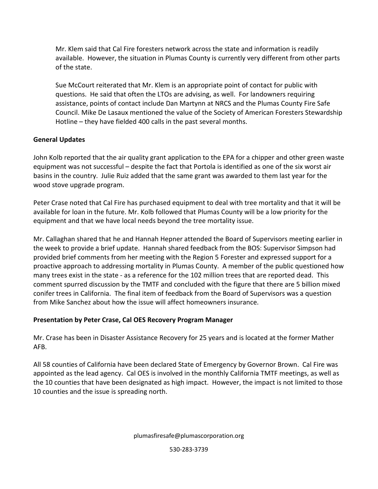Mr. Klem said that Cal Fire foresters network across the state and information is readily available. However, the situation in Plumas County is currently very different from other parts of the state.

Sue McCourt reiterated that Mr. Klem is an appropriate point of contact for public with questions. He said that often the LTOs are advising, as well. For landowners requiring assistance, points of contact include Dan Martynn at NRCS and the Plumas County Fire Safe Council. Mike De Lasaux mentioned the value of the Society of American Foresters Stewardship Hotline – they have fielded 400 calls in the past several months.

## **General Updates**

John Kolb reported that the air quality grant application to the EPA for a chipper and other green waste equipment was not successful – despite the fact that Portola is identified as one of the six worst air basins in the country. Julie Ruiz added that the same grant was awarded to them last year for the wood stove upgrade program.

Peter Crase noted that Cal Fire has purchased equipment to deal with tree mortality and that it will be available for loan in the future. Mr. Kolb followed that Plumas County will be a low priority for the equipment and that we have local needs beyond the tree mortality issue.

Mr. Callaghan shared that he and Hannah Hepner attended the Board of Supervisors meeting earlier in the week to provide a brief update. Hannah shared feedback from the BOS: Supervisor Simpson had provided brief comments from her meeting with the Region 5 Forester and expressed support for a proactive approach to addressing mortality in Plumas County. A member of the public questioned how many trees exist in the state - as a reference for the 102 million trees that are reported dead. This comment spurred discussion by the TMTF and concluded with the figure that there are 5 billion mixed conifer trees in California. The final item of feedback from the Board of Supervisors was a question from Mike Sanchez about how the issue will affect homeowners insurance.

# **Presentation by Peter Crase, Cal OES Recovery Program Manager**

Mr. Crase has been in Disaster Assistance Recovery for 25 years and is located at the former Mather AFB.

All 58 counties of California have been declared State of Emergency by Governor Brown. Cal Fire was appointed as the lead agency. Cal OES is involved in the monthly California TMTF meetings, as well as the 10 counties that have been designated as high impact. However, the impact is not limited to those 10 counties and the issue is spreading north.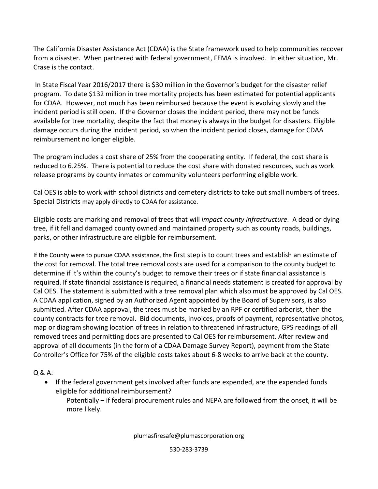The California Disaster Assistance Act (CDAA) is the State framework used to help communities recover from a disaster. When partnered with federal government, FEMA is involved. In either situation, Mr. Crase is the contact.

In State Fiscal Year 2016/2017 there is \$30 million in the Governor's budget for the disaster relief program. To date \$132 million in tree mortality projects has been estimated for potential applicants for CDAA. However, not much has been reimbursed because the event is evolving slowly and the incident period is still open. If the Governor closes the incident period, there may not be funds available for tree mortality, despite the fact that money is always in the budget for disasters. Eligible damage occurs during the incident period, so when the incident period closes, damage for CDAA reimbursement no longer eligible.

The program includes a cost share of 25% from the cooperating entity. If federal, the cost share is reduced to 6.25%. There is potential to reduce the cost share with donated resources, such as work release programs by county inmates or community volunteers performing eligible work.

Cal OES is able to work with school districts and cemetery districts to take out small numbers of trees. Special Districts may apply directly to CDAA for assistance.

Eligible costs are marking and removal of trees that will *impact county infrastructure*. A dead or dying tree, if it fell and damaged county owned and maintained property such as county roads, buildings, parks, or other infrastructure are eligible for reimbursement.

If the County were to pursue CDAA assistance, the first step is to count trees and establish an estimate of the cost for removal. The total tree removal costs are used for a comparison to the county budget to determine if it's within the county's budget to remove their trees or if state financial assistance is required. If state financial assistance is required, a financial needs statement is created for approval by Cal OES. The statement is submitted with a tree removal plan which also must be approved by Cal OES. A CDAA application, signed by an Authorized Agent appointed by the Board of Supervisors, is also submitted. After CDAA approval, the trees must be marked by an RPF or certified arborist, then the county contracts for tree removal. Bid documents, invoices, proofs of payment, representative photos, map or diagram showing location of trees in relation to threatened infrastructure, GPS readings of all removed trees and permitting docs are presented to Cal OES for reimbursement. After review and approval of all documents (in the form of a CDAA Damage Survey Report), payment from the State Controller's Office for 75% of the eligible costs takes about 6-8 weeks to arrive back at the county.

Q & A:

- If the federal government gets involved after funds are expended, are the expended funds eligible for additional reimbursement?
	- Potentially if federal procurement rules and NEPA are followed from the onset, it will be more likely.

plumasfiresafe@plumascorporation.org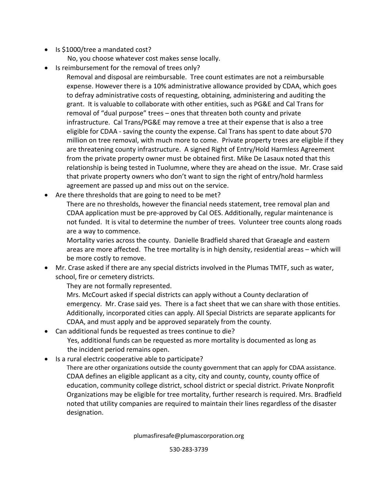- Is \$1000/tree a mandated cost?
	- No, you choose whatever cost makes sense locally.
- Is reimbursement for the removal of trees only?
	- Removal and disposal are reimbursable. Tree count estimates are not a reimbursable expense. However there is a 10% administrative allowance provided by CDAA, which goes to defray administrative costs of requesting, obtaining, administering and auditing the grant. It is valuable to collaborate with other entities, such as PG&E and Cal Trans for removal of "dual purpose" trees – ones that threaten both county and private infrastructure. Cal Trans/PG&E may remove a tree at their expense that is also a tree eligible for CDAA - saving the county the expense. Cal Trans has spent to date about \$70 million on tree removal, with much more to come. Private property trees are eligible if they are threatening county infrastructure. A signed Right of Entry/Hold Harmless Agreement from the private property owner must be obtained first. Mike De Lasaux noted that this relationship is being tested in Tuolumne, where they are ahead on the issue. Mr. Crase said that private property owners who don't want to sign the right of entry/hold harmless agreement are passed up and miss out on the service.
- Are there thresholds that are going to need to be met?
	- There are no thresholds, however the financial needs statement, tree removal plan and CDAA application must be pre-approved by Cal OES. Additionally, regular maintenance is not funded. It is vital to determine the number of trees. Volunteer tree counts along roads are a way to commence.
	- Mortality varies across the county. Danielle Bradfield shared that Graeagle and eastern areas are more affected. The tree mortality is in high density, residential areas – which will be more costly to remove.
- Mr. Crase asked if there are any special districts involved in the Plumas TMTF, such as water, school, fire or cemetery districts.
	- They are not formally represented.
	- Mrs. McCourt asked if special districts can apply without a County declaration of emergency. Mr. Crase said yes. There is a fact sheet that we can share with those entities. Additionally, incorporated cities can apply. All Special Districts are separate applicants for CDAA, and must apply and be approved separately from the county.
- Can additional funds be requested as trees continue to die? Yes, additional funds can be requested as more mortality is documented as long as the incident period remains open.
- Is a rural electric cooperative able to participate?
	- There are other organizations outside the county government that can apply for CDAA assistance. CDAA defines an eligible applicant as a city, city and county, county, county office of education, community college district, school district or special district. Private Nonprofit Organizations may be eligible for tree mortality, further research is required. Mrs. Bradfield noted that utility companies are required to maintain their lines regardless of the disaster designation.

plumasfiresafe@plumascorporation.org